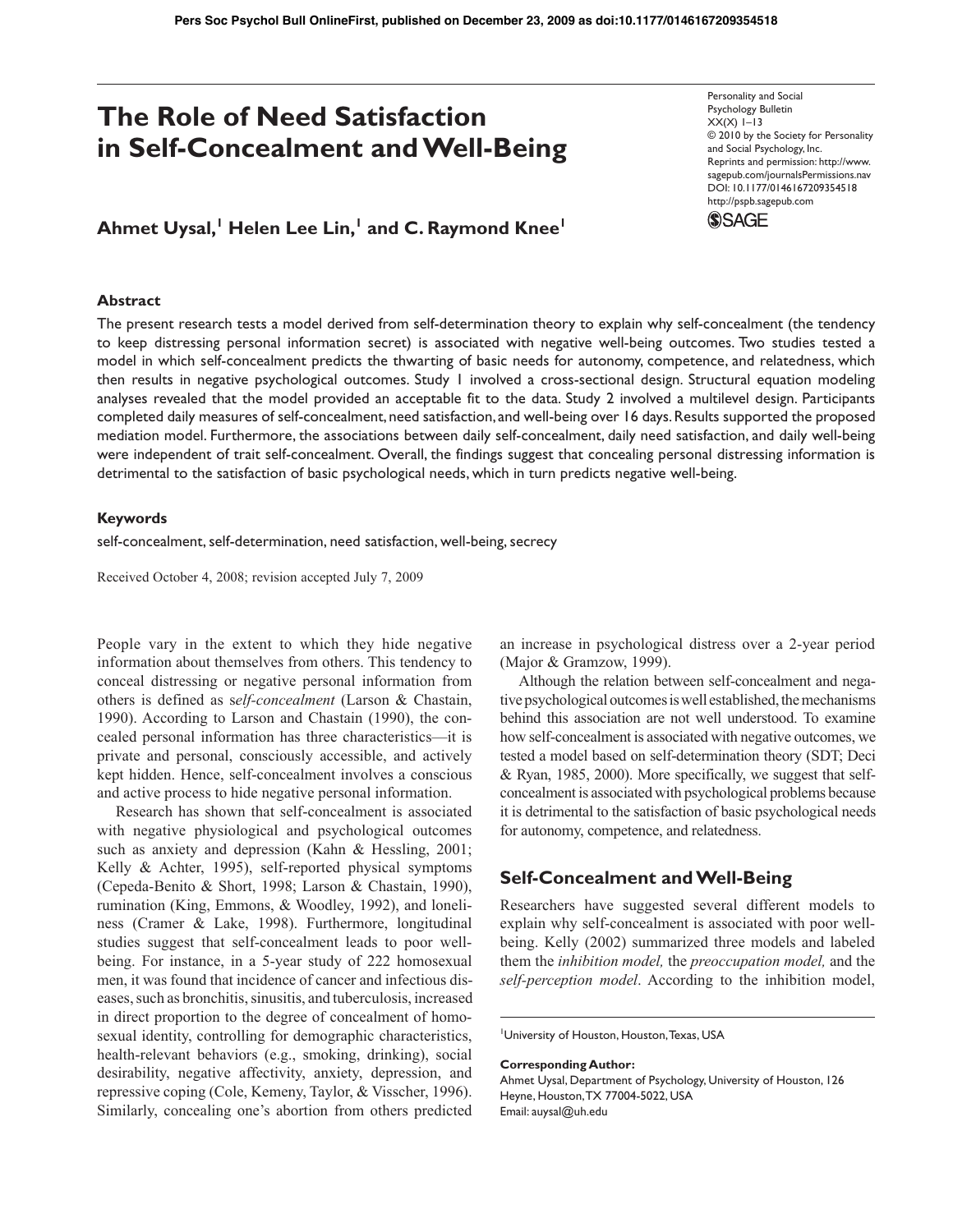# **The Role of Need Satisfaction in Self-Concealment and Well-Being**

## $A$ hmet Uysal,<sup>1</sup> Helen Lee Lin,<sup>1</sup> and C. Raymond Knee<sup>1</sup>

Personality and Social Psychology Bulletin  $XX(X)$  1–13 © 2010 by the Society for Personality and Social Psychology, Inc. Reprints and permission: http://www. sagepub.com/journalsPermissions.nav DOI: 10.1177/0146167209354518 http://pspb.sagepub.com **SSAGE** 

## **Abstract**

The present research tests a model derived from self-determination theory to explain why self-concealment (the tendency to keep distressing personal information secret) is associated with negative well-being outcomes. Two studies tested a model in which self-concealment predicts the thwarting of basic needs for autonomy, competence, and relatedness, which then results in negative psychological outcomes. Study 1 involved a cross-sectional design. Structural equation modeling analyses revealed that the model provided an acceptable fit to the data. Study 2 involved a multilevel design. Participants completed daily measures of self-concealment, need satisfaction, and well-being over 16 days. Results supported the proposed mediation model. Furthermore, the associations between daily self-concealment, daily need satisfaction, and daily well-being were independent of trait self-concealment. Overall, the findings suggest that concealing personal distressing information is detrimental to the satisfaction of basic psychological needs, which in turn predicts negative well-being.

#### **Keywords**

self-concealment, self-determination, need satisfaction, well-being, secrecy

Received October 4, 2008; revision accepted July 7, 2009

People vary in the extent to which they hide negative information about themselves from others. This tendency to conceal distressing or negative personal information from others is defined as s*elf-concealment* (Larson & Chastain, 1990). According to Larson and Chastain (1990), the concealed personal information has three characteristics—it is private and personal, consciously accessible, and actively kept hidden. Hence, self-concealment involves a conscious and active process to hide negative personal information.

Research has shown that self-concealment is associated with negative physiological and psychological outcomes such as anxiety and depression (Kahn & Hessling, 2001; Kelly & Achter, 1995), self-reported physical symptoms (Cepeda-Benito & Short, 1998; Larson & Chastain, 1990), rumination (King, Emmons, & Woodley, 1992), and loneliness (Cramer & Lake, 1998). Furthermore, longitudinal studies suggest that self-concealment leads to poor wellbeing. For instance, in a 5-year study of 222 homosexual men, it was found that incidence of cancer and infectious diseases, such as bronchitis, sinusitis, and tuberculosis, increased in direct proportion to the degree of concealment of homosexual identity, controlling for demographic characteristics, health-relevant behaviors (e.g., smoking, drinking), social desirability, negative affectivity, anxiety, depression, and repressive coping (Cole, Kemeny, Taylor, & Visscher, 1996). Similarly, concealing one's abortion from others predicted an increase in psychological distress over a 2-year period (Major & Gramzow, 1999).

Although the relation between self-concealment and negative psychological outcomes is well established, the mechanisms behind this association are not well understood. To examine how self-concealment is associated with negative outcomes, we tested a model based on self-determination theory (SDT; Deci & Ryan, 1985, 2000). More specifically, we suggest that selfconcealment is associated with psychological problems because it is detrimental to the satisfaction of basic psychological needs for autonomy, competence, and relatedness.

## **Self-Concealment and Well-Being**

Researchers have suggested several different models to explain why self-concealment is associated with poor wellbeing. Kelly (2002) summarized three models and labeled them the *inhibition model,* the *preoccupation model,* and the *self-perception model*. According to the inhibition model,

#### **Corresponding Author:**

Ahmet Uysal, Department of Psychology, University of Houston, 126 Heyne, Houston, TX 77004-5022, USA Email: auysal@uh.edu

<sup>1</sup> University of Houston, Houston, Texas, USA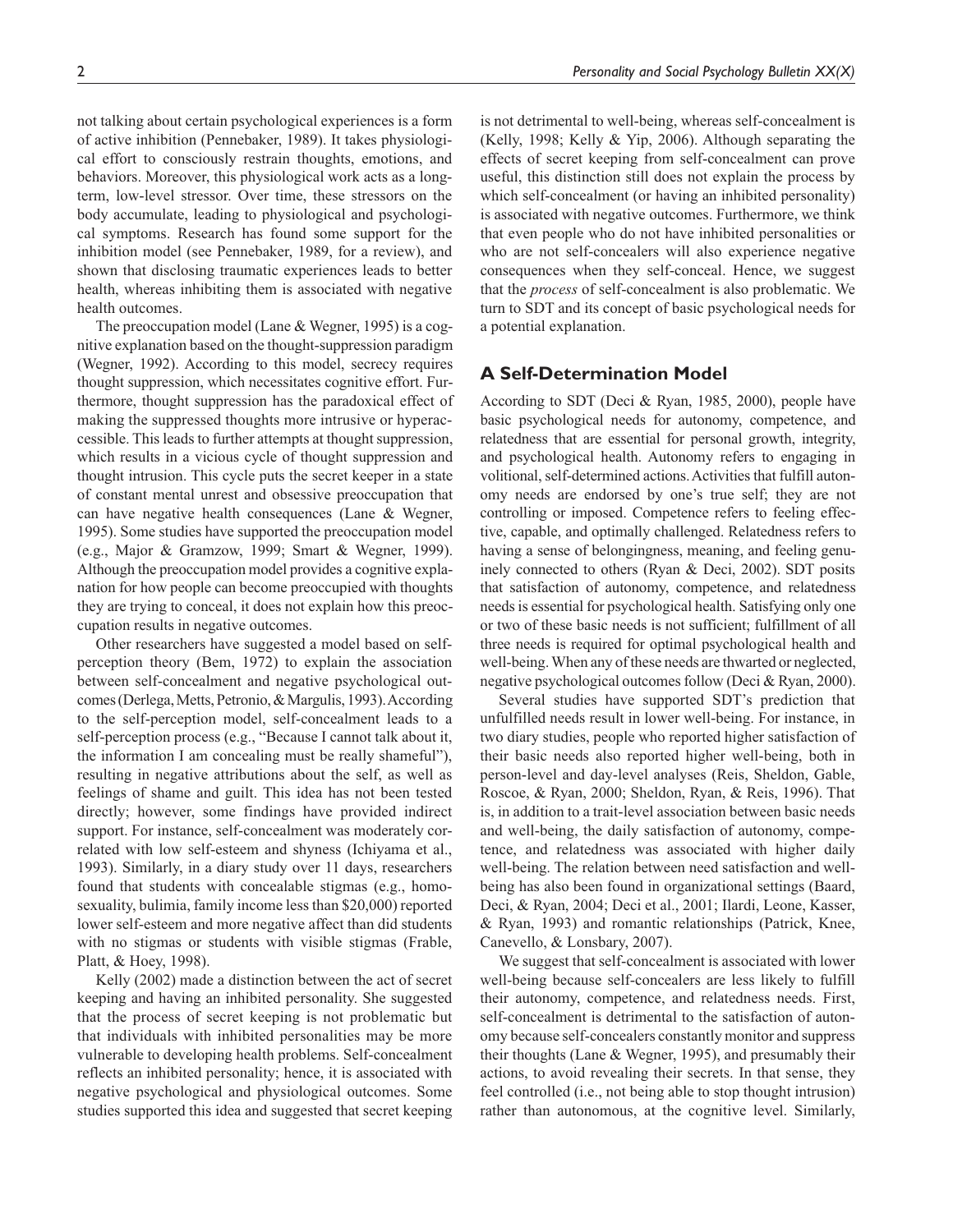not talking about certain psychological experiences is a form of active inhibition (Pennebaker, 1989). It takes physiological effort to consciously restrain thoughts, emotions, and behaviors. Moreover, this physiological work acts as a longterm, low-level stressor. Over time, these stressors on the body accumulate, leading to physiological and psychological symptoms. Research has found some support for the inhibition model (see Pennebaker, 1989, for a review), and shown that disclosing traumatic experiences leads to better health, whereas inhibiting them is associated with negative health outcomes.

The preoccupation model (Lane & Wegner, 1995) is a cognitive explanation based on the thought-suppression paradigm (Wegner, 1992). According to this model, secrecy requires thought suppression, which necessitates cognitive effort. Furthermore, thought suppression has the paradoxical effect of making the suppressed thoughts more intrusive or hyperaccessible. This leads to further attempts at thought suppression, which results in a vicious cycle of thought suppression and thought intrusion. This cycle puts the secret keeper in a state of constant mental unrest and obsessive preoccupation that can have negative health consequences (Lane & Wegner, 1995). Some studies have supported the preoccupation model (e.g., Major & Gramzow, 1999; Smart & Wegner, 1999). Although the preoccupation model provides a cognitive explanation for how people can become preoccupied with thoughts they are trying to conceal, it does not explain how this preoccupation results in negative outcomes.

Other researchers have suggested a model based on selfperception theory (Bem, 1972) to explain the association between self-concealment and negative psychological outcomes (Derlega, Metts, Petronio, & Margulis, 1993). According to the self-perception model, self-concealment leads to a self-perception process (e.g., "Because I cannot talk about it, the information I am concealing must be really shameful"), resulting in negative attributions about the self, as well as feelings of shame and guilt. This idea has not been tested directly; however, some findings have provided indirect support. For instance, self-concealment was moderately correlated with low self-esteem and shyness (Ichiyama et al., 1993). Similarly, in a diary study over 11 days, researchers found that students with concealable stigmas (e.g., homosexuality, bulimia, family income less than \$20,000) reported lower self-esteem and more negative affect than did students with no stigmas or students with visible stigmas (Frable, Platt, & Hoey, 1998).

Kelly (2002) made a distinction between the act of secret keeping and having an inhibited personality. She suggested that the process of secret keeping is not problematic but that individuals with inhibited personalities may be more vulnerable to developing health problems. Self-concealment reflects an inhibited personality; hence, it is associated with negative psychological and physiological outcomes. Some studies supported this idea and suggested that secret keeping is not detrimental to well-being, whereas self-concealment is (Kelly, 1998; Kelly & Yip, 2006). Although separating the effects of secret keeping from self-concealment can prove useful, this distinction still does not explain the process by which self-concealment (or having an inhibited personality) is associated with negative outcomes. Furthermore, we think that even people who do not have inhibited personalities or who are not self-concealers will also experience negative consequences when they self-conceal. Hence, we suggest that the *process* of self-concealment is also problematic. We turn to SDT and its concept of basic psychological needs for a potential explanation.

## **A Self-Determination Model**

According to SDT (Deci & Ryan, 1985, 2000), people have basic psychological needs for autonomy, competence, and relatedness that are essential for personal growth, integrity, and psychological health. Autonomy refers to engaging in volitional, self-determined actions.Activities that fulfill autonomy needs are endorsed by one's true self; they are not controlling or imposed. Competence refers to feeling effective, capable, and optimally challenged. Relatedness refers to having a sense of belongingness, meaning, and feeling genuinely connected to others (Ryan & Deci, 2002). SDT posits that satisfaction of autonomy, competence, and relatedness needs is essential for psychological health. Satisfying only one or two of these basic needs is not sufficient; fulfillment of all three needs is required for optimal psychological health and well-being. When any of these needs are thwarted or neglected, negative psychological outcomes follow (Deci & Ryan, 2000).

Several studies have supported SDT's prediction that unfulfilled needs result in lower well-being. For instance, in two diary studies, people who reported higher satisfaction of their basic needs also reported higher well-being, both in person-level and day-level analyses (Reis, Sheldon, Gable, Roscoe, & Ryan, 2000; Sheldon, Ryan, & Reis, 1996). That is, in addition to a trait-level association between basic needs and well-being, the daily satisfaction of autonomy, competence, and relatedness was associated with higher daily well-being. The relation between need satisfaction and wellbeing has also been found in organizational settings (Baard, Deci, & Ryan, 2004; Deci et al., 2001; Ilardi, Leone, Kasser, & Ryan, 1993) and romantic relationships (Patrick, Knee, Canevello, & Lonsbary, 2007).

We suggest that self-concealment is associated with lower well-being because self-concealers are less likely to fulfill their autonomy, competence, and relatedness needs. First, self-concealment is detrimental to the satisfaction of autonomy because self-concealers constantly monitor and suppress their thoughts (Lane & Wegner, 1995), and presumably their actions, to avoid revealing their secrets. In that sense, they feel controlled (i.e., not being able to stop thought intrusion) rather than autonomous, at the cognitive level. Similarly,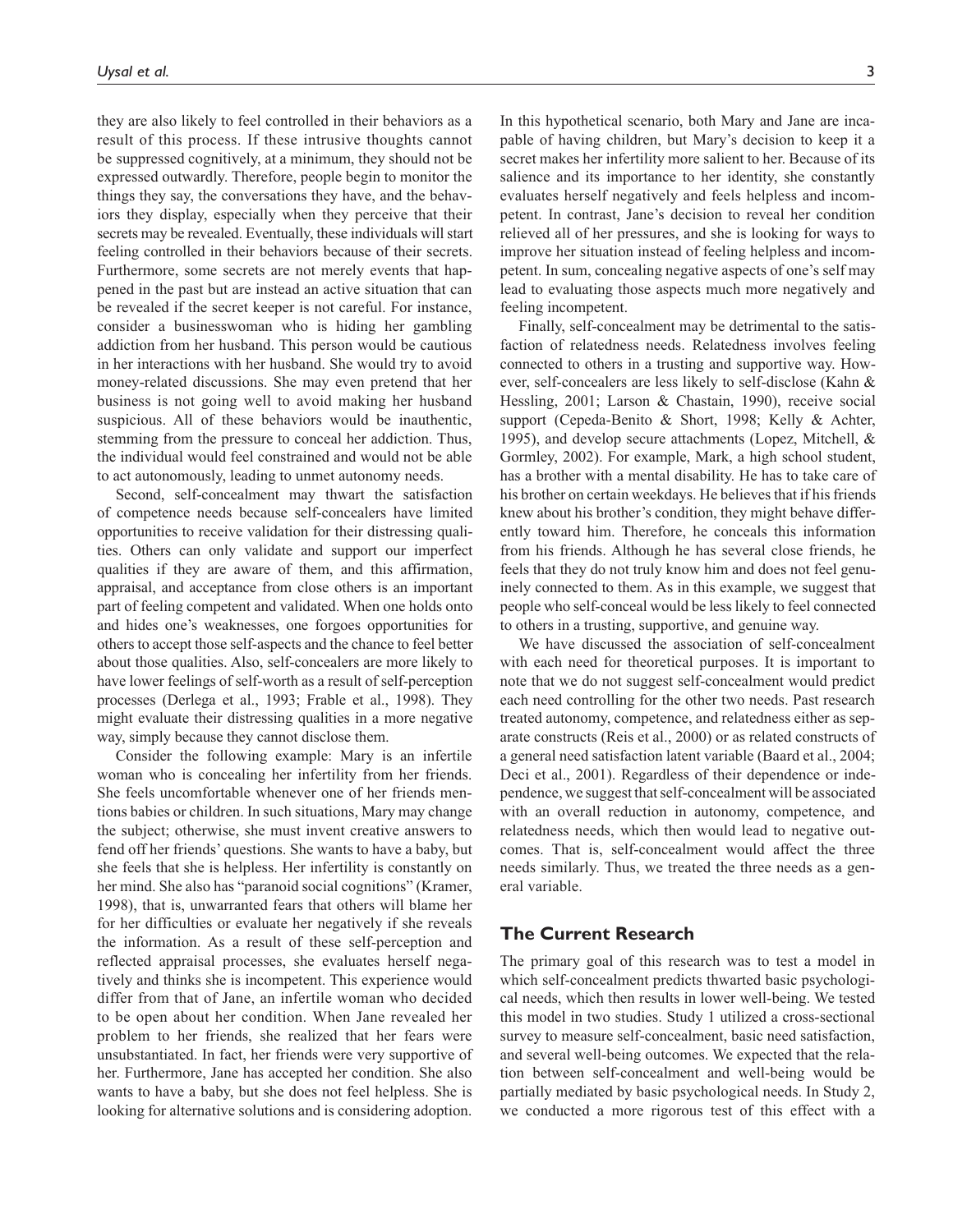they are also likely to feel controlled in their behaviors as a result of this process. If these intrusive thoughts cannot be suppressed cognitively, at a minimum, they should not be expressed outwardly. Therefore, people begin to monitor the things they say, the conversations they have, and the behaviors they display, especially when they perceive that their secrets may be revealed. Eventually, these individuals will start feeling controlled in their behaviors because of their secrets. Furthermore, some secrets are not merely events that happened in the past but are instead an active situation that can be revealed if the secret keeper is not careful. For instance, consider a businesswoman who is hiding her gambling addiction from her husband. This person would be cautious in her interactions with her husband. She would try to avoid money-related discussions. She may even pretend that her business is not going well to avoid making her husband suspicious. All of these behaviors would be inauthentic, stemming from the pressure to conceal her addiction. Thus, the individual would feel constrained and would not be able to act autonomously, leading to unmet autonomy needs.

Second, self-concealment may thwart the satisfaction of competence needs because self-concealers have limited opportunities to receive validation for their distressing qualities. Others can only validate and support our imperfect qualities if they are aware of them, and this affirmation, appraisal, and acceptance from close others is an important part of feeling competent and validated. When one holds onto and hides one's weaknesses, one forgoes opportunities for others to accept those self-aspects and the chance to feel better about those qualities. Also, self-concealers are more likely to have lower feelings of self-worth as a result of self-perception processes (Derlega et al., 1993; Frable et al., 1998). They might evaluate their distressing qualities in a more negative way, simply because they cannot disclose them.

Consider the following example: Mary is an infertile woman who is concealing her infertility from her friends. She feels uncomfortable whenever one of her friends mentions babies or children. In such situations, Mary may change the subject; otherwise, she must invent creative answers to fend off her friends' questions. She wants to have a baby, but she feels that she is helpless. Her infertility is constantly on her mind. She also has "paranoid social cognitions" (Kramer, 1998), that is, unwarranted fears that others will blame her for her difficulties or evaluate her negatively if she reveals the information. As a result of these self-perception and reflected appraisal processes, she evaluates herself negatively and thinks she is incompetent. This experience would differ from that of Jane, an infertile woman who decided to be open about her condition. When Jane revealed her problem to her friends, she realized that her fears were unsubstantiated. In fact, her friends were very supportive of her. Furthermore, Jane has accepted her condition. She also wants to have a baby, but she does not feel helpless. She is looking for alternative solutions and is considering adoption.

In this hypothetical scenario, both Mary and Jane are incapable of having children, but Mary's decision to keep it a secret makes her infertility more salient to her. Because of its salience and its importance to her identity, she constantly evaluates herself negatively and feels helpless and incompetent. In contrast, Jane's decision to reveal her condition relieved all of her pressures, and she is looking for ways to improve her situation instead of feeling helpless and incompetent. In sum, concealing negative aspects of one's self may lead to evaluating those aspects much more negatively and feeling incompetent.

Finally, self-concealment may be detrimental to the satisfaction of relatedness needs. Relatedness involves feeling connected to others in a trusting and supportive way. However, self-concealers are less likely to self-disclose (Kahn & Hessling, 2001; Larson & Chastain, 1990), receive social support (Cepeda-Benito & Short, 1998; Kelly & Achter, 1995), and develop secure attachments (Lopez, Mitchell, & Gormley, 2002). For example, Mark, a high school student, has a brother with a mental disability. He has to take care of his brother on certain weekdays. He believes that if his friends knew about his brother's condition, they might behave differently toward him. Therefore, he conceals this information from his friends. Although he has several close friends, he feels that they do not truly know him and does not feel genuinely connected to them. As in this example, we suggest that people who self-conceal would be less likely to feel connected to others in a trusting, supportive, and genuine way.

We have discussed the association of self-concealment with each need for theoretical purposes. It is important to note that we do not suggest self-concealment would predict each need controlling for the other two needs. Past research treated autonomy, competence, and relatedness either as separate constructs (Reis et al., 2000) or as related constructs of a general need satisfaction latent variable (Baard et al., 2004; Deci et al., 2001). Regardless of their dependence or independence, we suggest that self-concealment will be associated with an overall reduction in autonomy, competence, and relatedness needs, which then would lead to negative outcomes. That is, self-concealment would affect the three needs similarly. Thus, we treated the three needs as a general variable.

## **The Current Research**

The primary goal of this research was to test a model in which self-concealment predicts thwarted basic psychological needs, which then results in lower well-being. We tested this model in two studies. Study 1 utilized a cross-sectional survey to measure self-concealment, basic need satisfaction, and several well-being outcomes. We expected that the relation between self-concealment and well-being would be partially mediated by basic psychological needs. In Study 2, we conducted a more rigorous test of this effect with a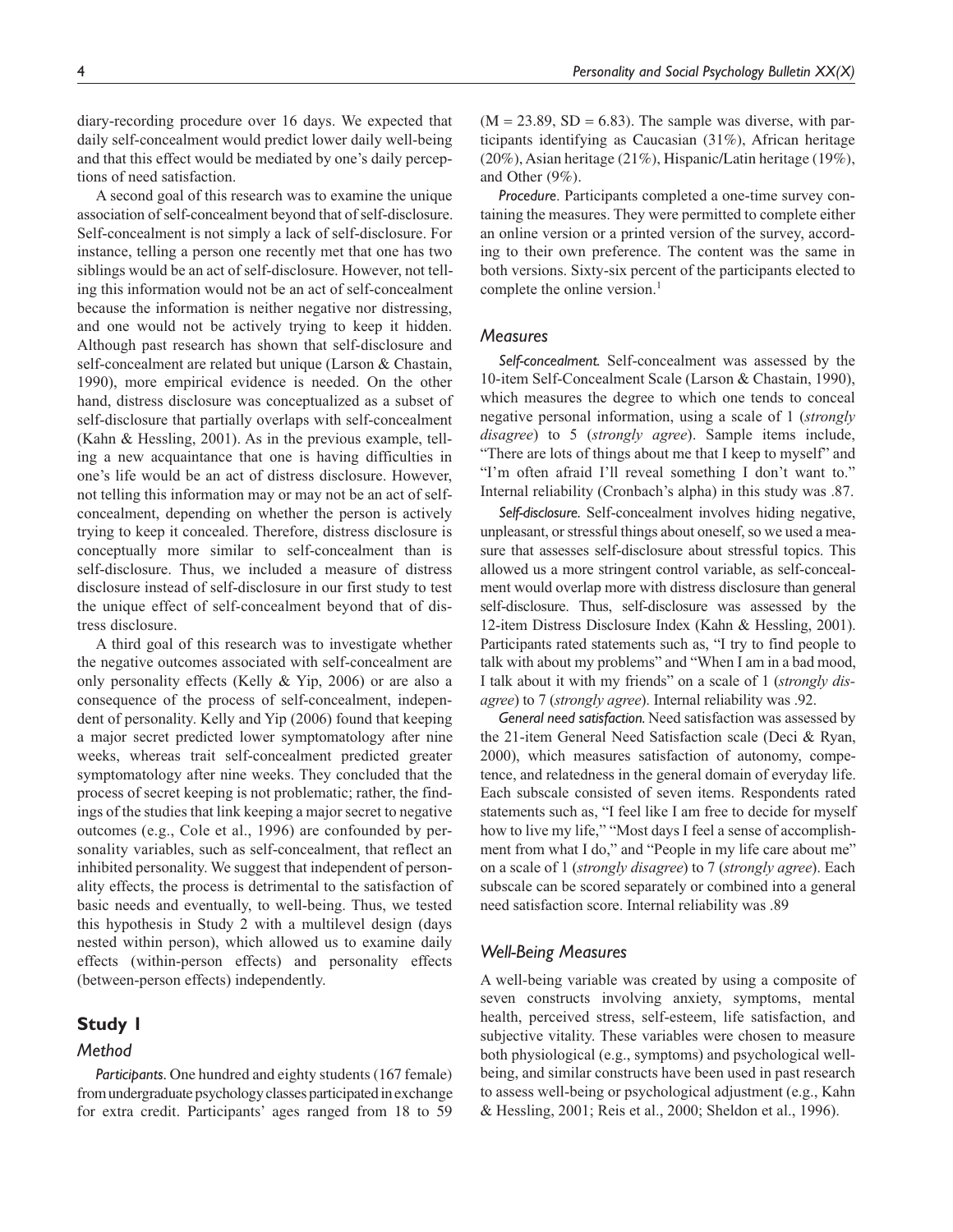diary-recording procedure over 16 days. We expected that daily self-concealment would predict lower daily well-being and that this effect would be mediated by one's daily perceptions of need satisfaction.

A second goal of this research was to examine the unique association of self-concealment beyond that of self-disclosure. Self-concealment is not simply a lack of self-disclosure. For instance, telling a person one recently met that one has two siblings would be an act of self-disclosure. However, not telling this information would not be an act of self-concealment because the information is neither negative nor distressing, and one would not be actively trying to keep it hidden. Although past research has shown that self-disclosure and self-concealment are related but unique (Larson & Chastain, 1990), more empirical evidence is needed. On the other hand, distress disclosure was conceptualized as a subset of self-disclosure that partially overlaps with self-concealment (Kahn & Hessling, 2001). As in the previous example, telling a new acquaintance that one is having difficulties in one's life would be an act of distress disclosure. However, not telling this information may or may not be an act of selfconcealment, depending on whether the person is actively trying to keep it concealed. Therefore, distress disclosure is conceptually more similar to self-concealment than is self-disclosure. Thus, we included a measure of distress disclosure instead of self-disclosure in our first study to test the unique effect of self-concealment beyond that of distress disclosure.

A third goal of this research was to investigate whether the negative outcomes associated with self-concealment are only personality effects (Kelly & Yip, 2006) or are also a consequence of the process of self-concealment, independent of personality. Kelly and Yip (2006) found that keeping a major secret predicted lower symptomatology after nine weeks, whereas trait self-concealment predicted greater symptomatology after nine weeks. They concluded that the process of secret keeping is not problematic; rather, the findings of the studies that link keeping a major secret to negative outcomes (e.g., Cole et al., 1996) are confounded by personality variables, such as self-concealment, that reflect an inhibited personality. We suggest that independent of personality effects, the process is detrimental to the satisfaction of basic needs and eventually, to well-being. Thus, we tested this hypothesis in Study 2 with a multilevel design (days nested within person), which allowed us to examine daily effects (within-person effects) and personality effects (between-person effects) independently.

## **Study 1**

## *Method*

*Participants.* One hundred and eighty students (167 female) from undergraduate psychology classes participated in exchange for extra credit. Participants' ages ranged from 18 to 59  $(M = 23.89, SD = 6.83)$ . The sample was diverse, with participants identifying as Caucasian (31%), African heritage (20%), Asian heritage (21%), Hispanic/Latin heritage (19%), and Other (9%).

*Procedure*. Participants completed a one-time survey containing the measures. They were permitted to complete either an online version or a printed version of the survey, according to their own preference. The content was the same in both versions. Sixty-six percent of the participants elected to complete the online version.<sup>1</sup>

## *Measures*

*Self-concealment.* Self-concealment was assessed by the 10-item Self-Concealment Scale (Larson & Chastain, 1990), which measures the degree to which one tends to conceal negative personal information, using a scale of 1 (*strongly disagree*) to 5 (*strongly agree*). Sample items include, "There are lots of things about me that I keep to myself" and "I'm often afraid I'll reveal something I don't want to." Internal reliability (Cronbach's alpha) in this study was .87.

*Self-disclosure*. Self-concealment involves hiding negative, unpleasant, or stressful things about oneself, so we used a measure that assesses self-disclosure about stressful topics. This allowed us a more stringent control variable, as self-concealment would overlap more with distress disclosure than general self-disclosure. Thus, self-disclosure was assessed by the 12-item Distress Disclosure Index (Kahn & Hessling, 2001). Participants rated statements such as, "I try to find people to talk with about my problems" and "When I am in a bad mood, I talk about it with my friends" on a scale of 1 (*strongly disagree*) to 7 (*strongly agree*). Internal reliability was .92.

*General need satisfaction.* Need satisfaction was assessed by the 21-item General Need Satisfaction scale (Deci & Ryan, 2000), which measures satisfaction of autonomy, competence, and relatedness in the general domain of everyday life. Each subscale consisted of seven items. Respondents rated statements such as, "I feel like I am free to decide for myself how to live my life," "Most days I feel a sense of accomplishment from what I do," and "People in my life care about me" on a scale of 1 (*strongly disagree*) to 7 (*strongly agree*). Each subscale can be scored separately or combined into a general need satisfaction score. Internal reliability was .89

## *Well-Being Measures*

A well-being variable was created by using a composite of seven constructs involving anxiety, symptoms, mental health, perceived stress, self-esteem, life satisfaction, and subjective vitality. These variables were chosen to measure both physiological (e.g., symptoms) and psychological wellbeing, and similar constructs have been used in past research to assess well-being or psychological adjustment (e.g., Kahn & Hessling, 2001; Reis et al., 2000; Sheldon et al., 1996).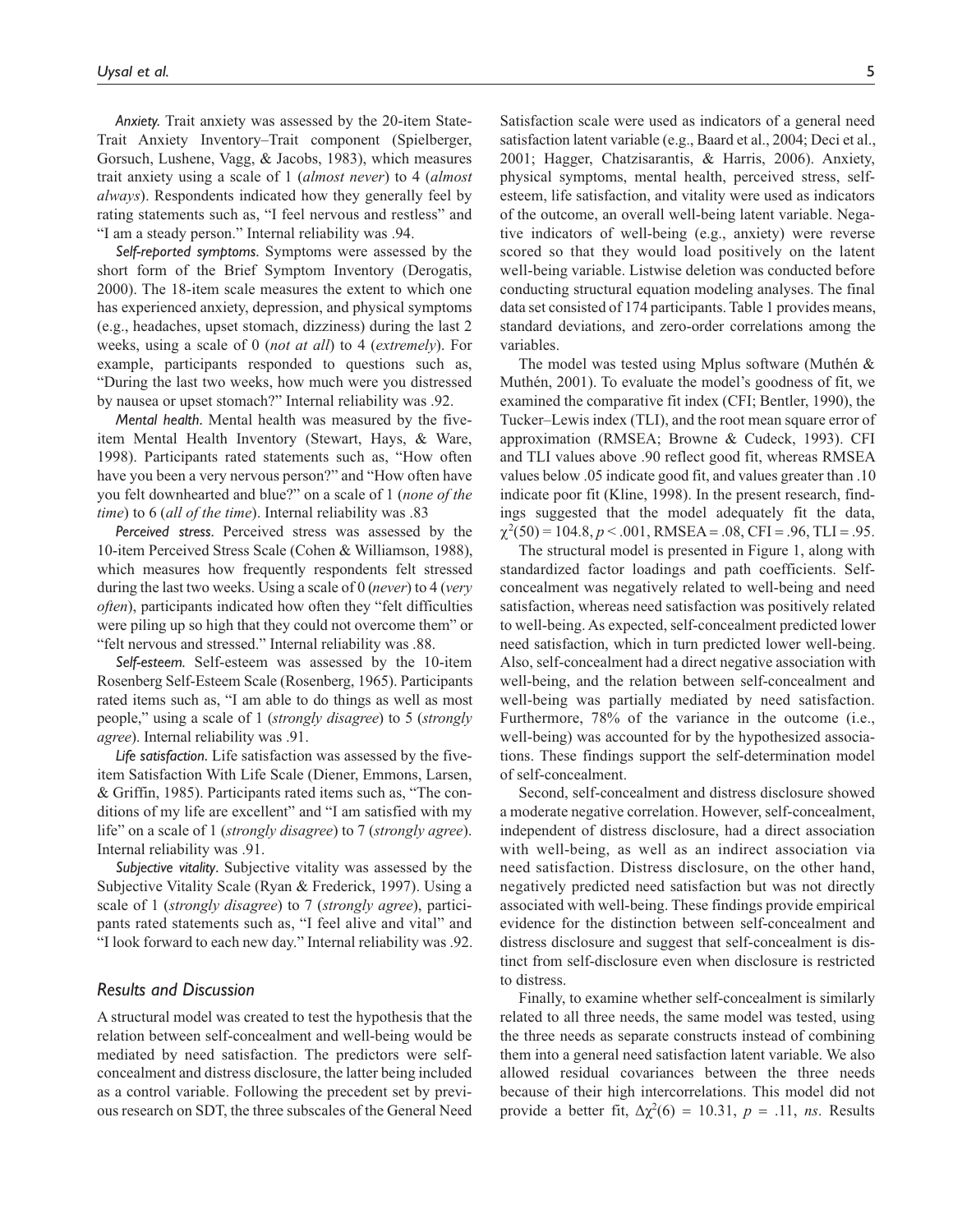*Anxiety.* Trait anxiety was assessed by the 20-item State-Trait Anxiety Inventory–Trait component (Spielberger, Gorsuch, Lushene, Vagg, & Jacobs, 1983), which measures trait anxiety using a scale of 1 (*almost never*) to 4 (*almost always*). Respondents indicated how they generally feel by rating statements such as, "I feel nervous and restless" and "I am a steady person." Internal reliability was .94.

*Self-reported symptoms.* Symptoms were assessed by the short form of the Brief Symptom Inventory (Derogatis, 2000). The 18-item scale measures the extent to which one has experienced anxiety, depression, and physical symptoms (e.g., headaches, upset stomach, dizziness) during the last 2 weeks, using a scale of 0 (*not at all*) to 4 (*extremely*). For example, participants responded to questions such as, "During the last two weeks, how much were you distressed by nausea or upset stomach?" Internal reliability was .92.

*Mental health*. Mental health was measured by the fiveitem Mental Health Inventory (Stewart, Hays, & Ware, 1998). Participants rated statements such as, "How often have you been a very nervous person?" and "How often have you felt downhearted and blue?" on a scale of 1 (*none of the time*) to 6 (*all of the time*). Internal reliability was .83

*Perceived stress.* Perceived stress was assessed by the 10-item Perceived Stress Scale (Cohen & Williamson, 1988), which measures how frequently respondents felt stressed during the last two weeks. Using a scale of 0 (*never*) to 4 (*very often*), participants indicated how often they "felt difficulties were piling up so high that they could not overcome them" or "felt nervous and stressed." Internal reliability was .88.

*Self-esteem.* Self-esteem was assessed by the 10-item Rosenberg Self-Esteem Scale (Rosenberg, 1965). Participants rated items such as, "I am able to do things as well as most people," using a scale of 1 (*strongly disagree*) to 5 (*strongly agree*). Internal reliability was .91.

*Life satisfaction*. Life satisfaction was assessed by the fiveitem Satisfaction With Life Scale (Diener, Emmons, Larsen, & Griffin, 1985). Participants rated items such as, "The conditions of my life are excellent" and "I am satisfied with my life" on a scale of 1 (*strongly disagree*) to 7 (*strongly agree*). Internal reliability was .91.

*Subjective vitality*. Subjective vitality was assessed by the Subjective Vitality Scale (Ryan & Frederick, 1997). Using a scale of 1 (*strongly disagree*) to 7 (*strongly agree*), participants rated statements such as, "I feel alive and vital" and "I look forward to each new day." Internal reliability was .92.

## *Results and Discussion*

A structural model was created to test the hypothesis that the relation between self-concealment and well-being would be mediated by need satisfaction. The predictors were selfconcealment and distress disclosure, the latter being included as a control variable. Following the precedent set by previous research on SDT, the three subscales of the General Need

Satisfaction scale were used as indicators of a general need satisfaction latent variable (e.g., Baard et al., 2004; Deci et al., 2001; Hagger, Chatzisarantis, & Harris, 2006). Anxiety, physical symptoms, mental health, perceived stress, selfesteem, life satisfaction, and vitality were used as indicators of the outcome, an overall well-being latent variable. Negative indicators of well-being (e.g., anxiety) were reverse scored so that they would load positively on the latent well-being variable. Listwise deletion was conducted before conducting structural equation modeling analyses. The final data set consisted of 174 participants. Table 1 provides means, standard deviations, and zero-order correlations among the variables.

The model was tested using Mplus software (Muthén & Muthén, 2001). To evaluate the model's goodness of fit, we examined the comparative fit index (CFI; Bentler, 1990), the Tucker–Lewis index (TLI), and the root mean square error of approximation (RMSEA; Browne & Cudeck, 1993). CFI and TLI values above .90 reflect good fit, whereas RMSEA values below .05 indicate good fit, and values greater than .10 indicate poor fit (Kline, 1998). In the present research, findings suggested that the model adequately fit the data,  $\chi^2(50) = 104.8, p < .001, RMSEA = .08, CFI = .96, TLI = .95.$ 

The structural model is presented in Figure 1, along with standardized factor loadings and path coefficients. Selfconcealment was negatively related to well-being and need satisfaction, whereas need satisfaction was positively related to well-being. As expected, self-concealment predicted lower need satisfaction, which in turn predicted lower well-being. Also, self-concealment had a direct negative association with well-being, and the relation between self-concealment and well-being was partially mediated by need satisfaction. Furthermore, 78% of the variance in the outcome (i.e., well-being) was accounted for by the hypothesized associations. These findings support the self-determination model of self-concealment.

Second, self-concealment and distress disclosure showed a moderate negative correlation. However, self-concealment, independent of distress disclosure, had a direct association with well-being, as well as an indirect association via need satisfaction. Distress disclosure, on the other hand, negatively predicted need satisfaction but was not directly associated with well-being. These findings provide empirical evidence for the distinction between self-concealment and distress disclosure and suggest that self-concealment is distinct from self-disclosure even when disclosure is restricted to distress.

Finally, to examine whether self-concealment is similarly related to all three needs, the same model was tested, using the three needs as separate constructs instead of combining them into a general need satisfaction latent variable. We also allowed residual covariances between the three needs because of their high intercorrelations. This model did not provide a better fit,  $\Delta \chi^2(6) = 10.31$ ,  $p = .11$ , *ns*. Results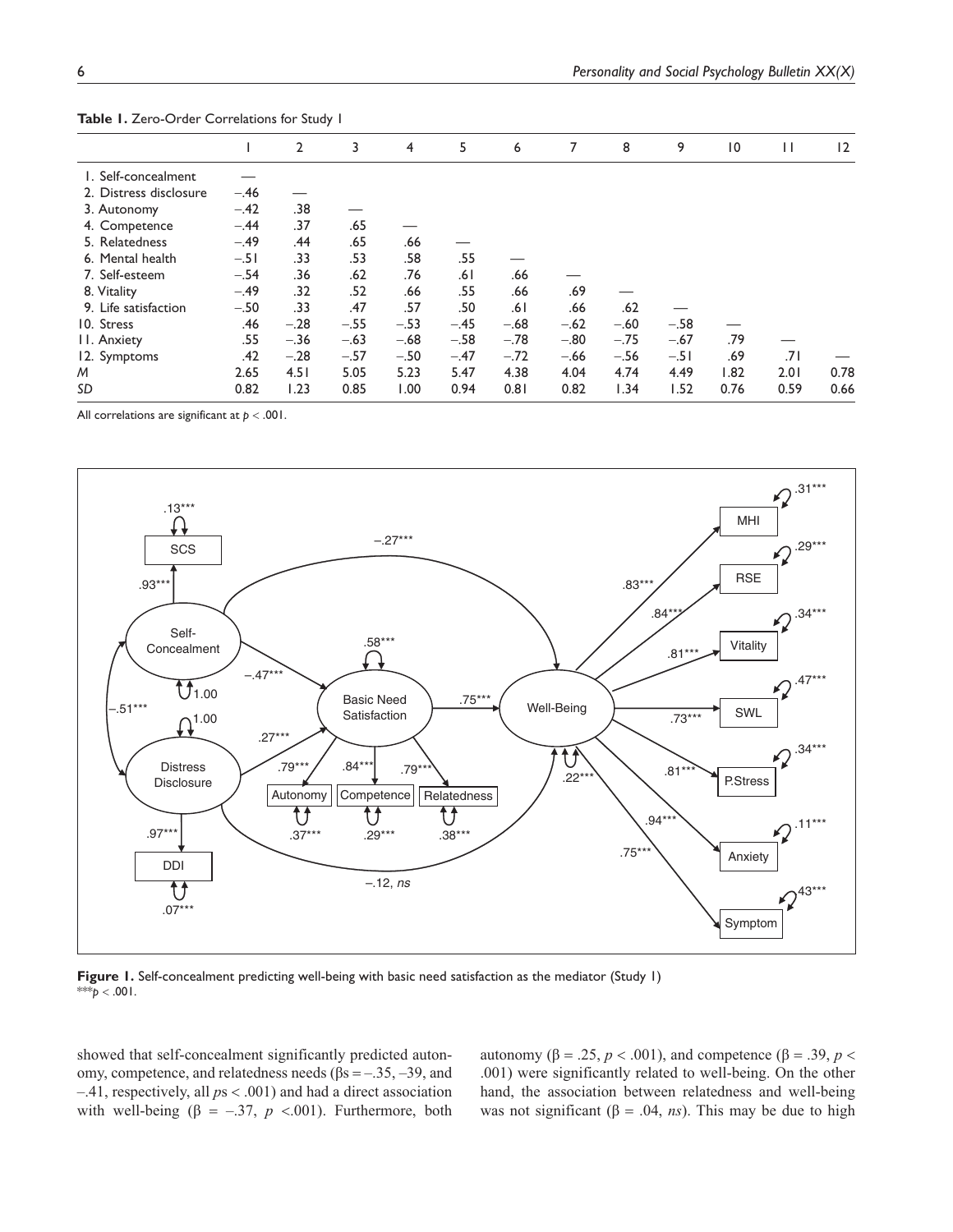|                        |        | $\overline{2}$ | 3      | $\overline{4}$ | 5      | 6      | 7      | 8      | 9      | $\overline{10}$ | $\mathbf{H}$ | 12   |
|------------------------|--------|----------------|--------|----------------|--------|--------|--------|--------|--------|-----------------|--------------|------|
| I. Self-concealment    |        |                |        |                |        |        |        |        |        |                 |              |      |
| 2. Distress disclosure | $-.46$ |                |        |                |        |        |        |        |        |                 |              |      |
| 3. Autonomy            | $-.42$ | .38            |        |                |        |        |        |        |        |                 |              |      |
| 4. Competence          | $-.44$ | .37            | .65    |                |        |        |        |        |        |                 |              |      |
| 5. Relatedness         | $-.49$ | .44            | .65    | .66            |        |        |        |        |        |                 |              |      |
| 6. Mental health       | $-.51$ | .33            | .53    | .58            | .55    |        |        |        |        |                 |              |      |
| 7. Self-esteem         | $-.54$ | .36            | .62    | .76            | ا 6.   | .66    |        |        |        |                 |              |      |
| 8. Vitality            | $-.49$ | .32            | .52    | .66            | .55    | .66    | .69    |        |        |                 |              |      |
| 9. Life satisfaction   | $-.50$ | .33            | .47    | .57            | .50    | .61    | .66    | .62    |        |                 |              |      |
| 10. Stress             | .46    | $-.28$         | $-.55$ | $-.53$         | $-.45$ | $-.68$ | $-.62$ | $-.60$ | $-.58$ |                 |              |      |
| <b>II.</b> Anxiety     | .55    | $-.36$         | $-.63$ | $-.68$         | $-.58$ | $-.78$ | $-.80$ | $-.75$ | $-.67$ | .79             |              |      |
| 12. Symptoms           | .42    | $-.28$         | $-.57$ | $-.50$         | $-.47$ | $-.72$ | $-.66$ | $-.56$ | $-.51$ | .69             | .71          |      |
| M                      | 2.65   | 4.51           | 5.05   | 5.23           | 5.47   | 4.38   | 4.04   | 4.74   | 4.49   | 1.82            | 2.01         | 0.78 |
| SD                     | 0.82   | 1.23           | 0.85   | 1.00           | 0.94   | 0.81   | 0.82   | 1.34   | 1.52   | 0.76            | 0.59         | 0.66 |
|                        |        |                |        |                |        |        |        |        |        |                 |              |      |

**Table 1.** Zero-Order Correlations for Study 1

All correlations are significant at  $p < .001$ .



**Figure 1.** Self-concealment predicting well-being with basic need satisfaction as the mediator (Study 1) \*\**p* < .001.

showed that self-concealment significantly predicted autonomy, competence, and relatedness needs (βs = –.35, –39, and  $-.41$ , respectively, all  $ps < .001$ ) and had a direct association with well-being ( $\beta$  = -.37, *p* <.001). Furthermore, both autonomy (β = .25, *p* < .001), and competence (β = .39, *p* < .001) were significantly related to well-being. On the other hand, the association between relatedness and well-being was not significant ( $\beta$  = .04, *ns*). This may be due to high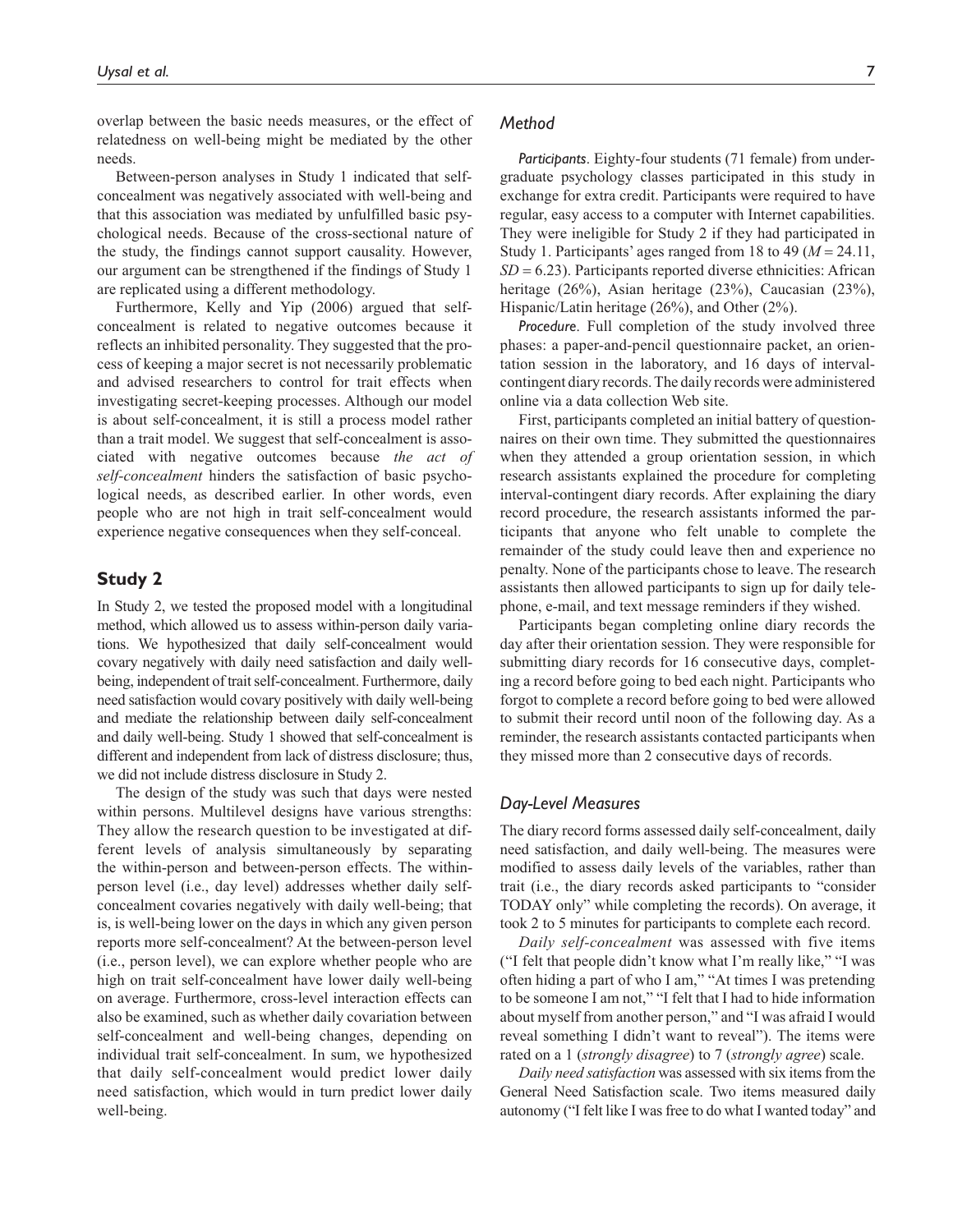overlap between the basic needs measures, or the effect of relatedness on well-being might be mediated by the other needs.

Between-person analyses in Study 1 indicated that selfconcealment was negatively associated with well-being and that this association was mediated by unfulfilled basic psychological needs. Because of the cross-sectional nature of the study, the findings cannot support causality. However, our argument can be strengthened if the findings of Study 1 are replicated using a different methodology.

Furthermore, Kelly and Yip (2006) argued that selfconcealment is related to negative outcomes because it reflects an inhibited personality. They suggested that the process of keeping a major secret is not necessarily problematic and advised researchers to control for trait effects when investigating secret-keeping processes. Although our model is about self-concealment, it is still a process model rather than a trait model. We suggest that self-concealment is associated with negative outcomes because *the act of self-concealment* hinders the satisfaction of basic psychological needs, as described earlier. In other words, even people who are not high in trait self-concealment would experience negative consequences when they self-conceal.

## **Study 2**

In Study 2, we tested the proposed model with a longitudinal method, which allowed us to assess within-person daily variations. We hypothesized that daily self-concealment would covary negatively with daily need satisfaction and daily wellbeing, independent of trait self-concealment. Furthermore, daily need satisfaction would covary positively with daily well-being and mediate the relationship between daily self-concealment and daily well-being. Study 1 showed that self-concealment is different and independent from lack of distress disclosure; thus, we did not include distress disclosure in Study 2.

The design of the study was such that days were nested within persons. Multilevel designs have various strengths: They allow the research question to be investigated at different levels of analysis simultaneously by separating the within-person and between-person effects. The withinperson level (i.e., day level) addresses whether daily selfconcealment covaries negatively with daily well-being; that is, is well-being lower on the days in which any given person reports more self-concealment? At the between-person level (i.e., person level), we can explore whether people who are high on trait self-concealment have lower daily well-being on average. Furthermore, cross-level interaction effects can also be examined, such as whether daily covariation between self-concealment and well-being changes, depending on individual trait self-concealment. In sum, we hypothesized that daily self-concealment would predict lower daily need satisfaction, which would in turn predict lower daily well-being.

## *Method*

*Participants*. Eighty-four students (71 female) from undergraduate psychology classes participated in this study in exchange for extra credit. Participants were required to have regular, easy access to a computer with Internet capabilities. They were ineligible for Study 2 if they had participated in Study 1. Participants' ages ranged from 18 to 49 ( $M = 24.11$ ,  $SD = 6.23$ ). Participants reported diverse ethnicities: African heritage (26%), Asian heritage (23%), Caucasian (23%), Hispanic/Latin heritage (26%), and Other (2%).

*Procedure*. Full completion of the study involved three phases: a paper-and-pencil questionnaire packet, an orientation session in the laboratory, and 16 days of intervalcontingent diary records. The daily records were administered online via a data collection Web site.

First, participants completed an initial battery of questionnaires on their own time. They submitted the questionnaires when they attended a group orientation session, in which research assistants explained the procedure for completing interval-contingent diary records. After explaining the diary record procedure, the research assistants informed the participants that anyone who felt unable to complete the remainder of the study could leave then and experience no penalty. None of the participants chose to leave. The research assistants then allowed participants to sign up for daily telephone, e-mail, and text message reminders if they wished.

Participants began completing online diary records the day after their orientation session. They were responsible for submitting diary records for 16 consecutive days, completing a record before going to bed each night. Participants who forgot to complete a record before going to bed were allowed to submit their record until noon of the following day. As a reminder, the research assistants contacted participants when they missed more than 2 consecutive days of records.

## *Day-Level Measures*

The diary record forms assessed daily self-concealment, daily need satisfaction, and daily well-being. The measures were modified to assess daily levels of the variables, rather than trait (i.e., the diary records asked participants to "consider TODAY only" while completing the records). On average, it took 2 to 5 minutes for participants to complete each record.

*Daily self-concealment* was assessed with five items ("I felt that people didn't know what I'm really like," "I was often hiding a part of who I am," "At times I was pretending to be someone I am not," "I felt that I had to hide information about myself from another person," and "I was afraid I would reveal something I didn't want to reveal"). The items were rated on a 1 (*strongly disagree*) to 7 (*strongly agree*) scale.

*Daily need satisfaction* was assessed with six items from the General Need Satisfaction scale. Two items measured daily autonomy ("I felt like I was free to do what I wanted today" and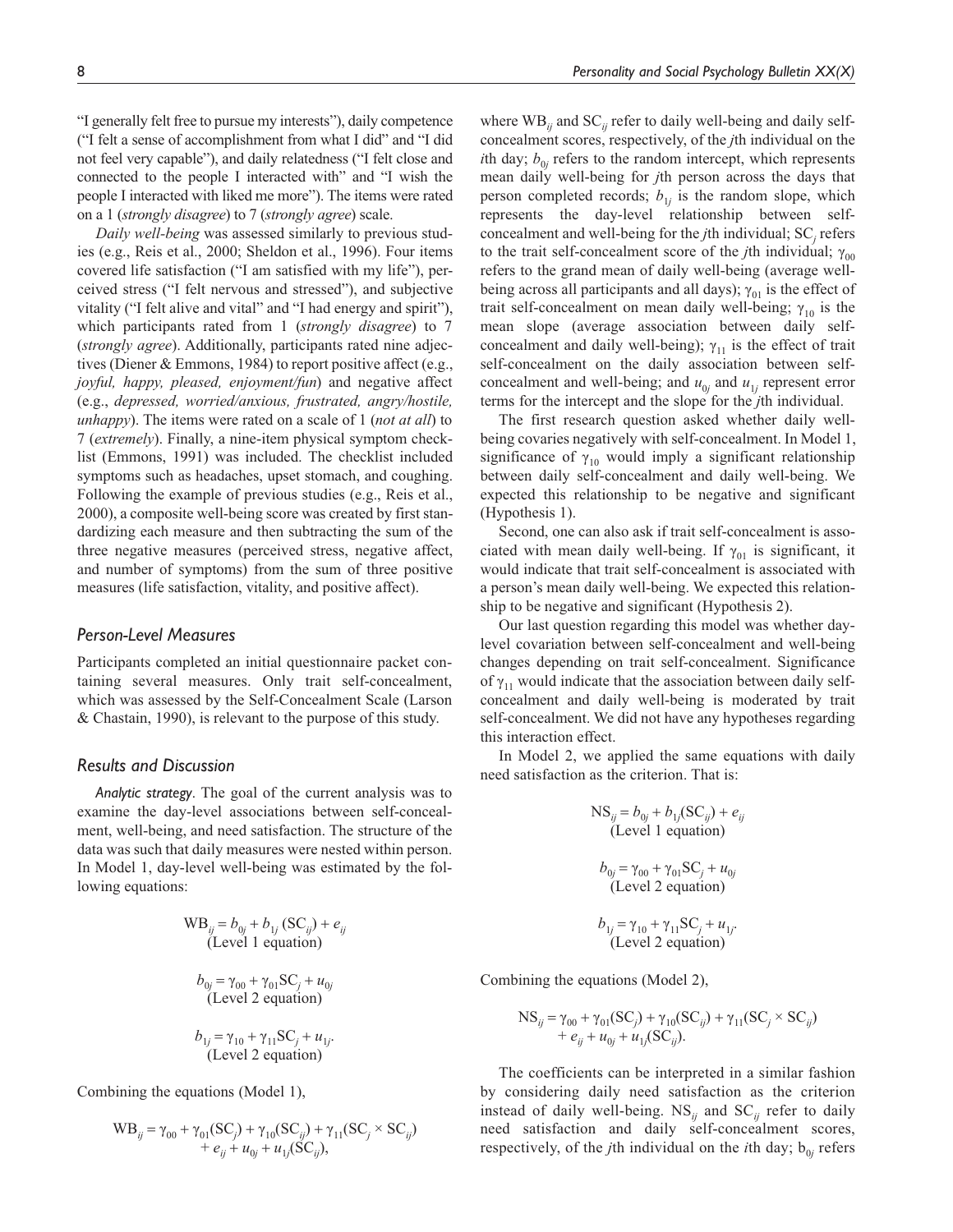"I generally felt free to pursue my interests"), daily competence ("I felt a sense of accomplishment from what I did" and "I did not feel very capable"), and daily relatedness ("I felt close and connected to the people I interacted with" and "I wish the people I interacted with liked me more"). The items were rated on a 1 (*strongly disagree*) to 7 (*strongly agree*) scale.

*Daily well-being* was assessed similarly to previous studies (e.g., Reis et al., 2000; Sheldon et al., 1996). Four items covered life satisfaction ("I am satisfied with my life"), perceived stress ("I felt nervous and stressed"), and subjective vitality ("I felt alive and vital" and "I had energy and spirit"), which participants rated from 1 (*strongly disagree*) to 7 (*strongly agree*). Additionally, participants rated nine adjectives (Diener & Emmons, 1984) to report positive affect (e.g., *joyful, happy, pleased, enjoyment/fun*) and negative affect (e.g., *depressed, worried/anxious, frustrated, angry/hostile, unhappy*). The items were rated on a scale of 1 (*not at all*) to 7 (*extremely*). Finally, a nine-item physical symptom checklist (Emmons, 1991) was included. The checklist included symptoms such as headaches, upset stomach, and coughing. Following the example of previous studies (e.g., Reis et al., 2000), a composite well-being score was created by first standardizing each measure and then subtracting the sum of the three negative measures (perceived stress, negative affect, and number of symptoms) from the sum of three positive measures (life satisfaction, vitality, and positive affect).

## *Person-Level Measures*

Participants completed an initial questionnaire packet containing several measures. Only trait self-concealment, which was assessed by the Self-Concealment Scale (Larson & Chastain, 1990), is relevant to the purpose of this study.

## *Results and Discussion*

*Analytic strategy*. The goal of the current analysis was to examine the day-level associations between self-concealment, well-being, and need satisfaction. The structure of the data was such that daily measures were nested within person. In Model 1, day-level well-being was estimated by the following equations:

$$
WB_{ij} = b_{0j} + b_{1j} (SC_{ij}) + e_{ij}
$$
  
(Level 1 equation)  

$$
b_{0j} = \gamma_{00} + \gamma_{01} SC_j + u_{0j}
$$
  
(Level 2 equation)  

$$
b_{1j} = \gamma_{10} + \gamma_{11} SC_j + u_{1j}.
$$
  
(Level 2 equation)

Combining the equations (Model 1),

$$
WB_{ij} = \gamma_{00} + \gamma_{01}(SC_j) + \gamma_{10}(SC_{ij}) + \gamma_{11}(SC_j \times SC_{ij}) + e_{ij} + u_{0j} + u_{1j}(SC_{ij}),
$$

where  $\text{WB}_{ii}$  and  $\text{SC}_{ii}$  refer to daily well-being and daily selfconcealment scores, respectively, of the *j*th individual on the *i*th day;  $b_{0j}$  refers to the random intercept, which represents mean daily well-being for *j*th person across the days that person completed records;  $b_{1j}$  is the random slope, which represents the day-level relationship between selfconcealment and well-being for the *j*th individual; SC*<sup>j</sup>* refers to the trait self-concealment score of the *j*th individual;  $\gamma_{00}$ refers to the grand mean of daily well-being (average wellbeing across all participants and all days);  $\gamma_{01}$  is the effect of trait self-concealment on mean daily well-being;  $\gamma_{10}$  is the mean slope (average association between daily selfconcealment and daily well-being);  $\gamma_{11}$  is the effect of trait self-concealment on the daily association between selfconcealment and well-being; and  $u_{0j}$  and  $u_{1j}$  represent error terms for the intercept and the slope for the *j*th individual.

The first research question asked whether daily wellbeing covaries negatively with self-concealment. In Model 1, significance of  $\gamma_{10}$  would imply a significant relationship between daily self-concealment and daily well-being. We expected this relationship to be negative and significant (Hypothesis 1).

Second, one can also ask if trait self-concealment is associated with mean daily well-being. If  $\gamma_{01}$  is significant, it would indicate that trait self-concealment is associated with a person's mean daily well-being. We expected this relationship to be negative and significant (Hypothesis 2).

Our last question regarding this model was whether daylevel covariation between self-concealment and well-being changes depending on trait self-concealment. Significance of  $\gamma_{11}$  would indicate that the association between daily selfconcealment and daily well-being is moderated by trait self-concealment. We did not have any hypotheses regarding this interaction effect.

In Model 2, we applied the same equations with daily need satisfaction as the criterion. That is:

$$
NS_{ij} = b_{0j} + b_{1j}(SC_{ij}) + e_{ij}
$$
  
(Level 1 equation)  

$$
b_{0j} = \gamma_{00} + \gamma_{01}SC_j + u_{0j}
$$
  
(Level 2 equation)  

$$
b_{1j} = \gamma_{10} + \gamma_{11}SC_j + u_{1j}.
$$
  
(Level 2 equation)

Combining the equations (Model 2),

$$
NS_{ij} = \gamma_{00} + \gamma_{01}(SC_j) + \gamma_{10}(SC_{ij}) + \gamma_{11}(SC_j \times SC_{ij}) + e_{ij} + u_{0j} + u_{1j}(SC_{ij}).
$$

The coefficients can be interpreted in a similar fashion by considering daily need satisfaction as the criterion instead of daily well-being.  $NS_{ij}$  and  $SC_{ij}$  refer to daily need satisfaction and daily self-concealment scores, respectively, of the *j*th individual on the *i*th day;  $b_{0j}$  refers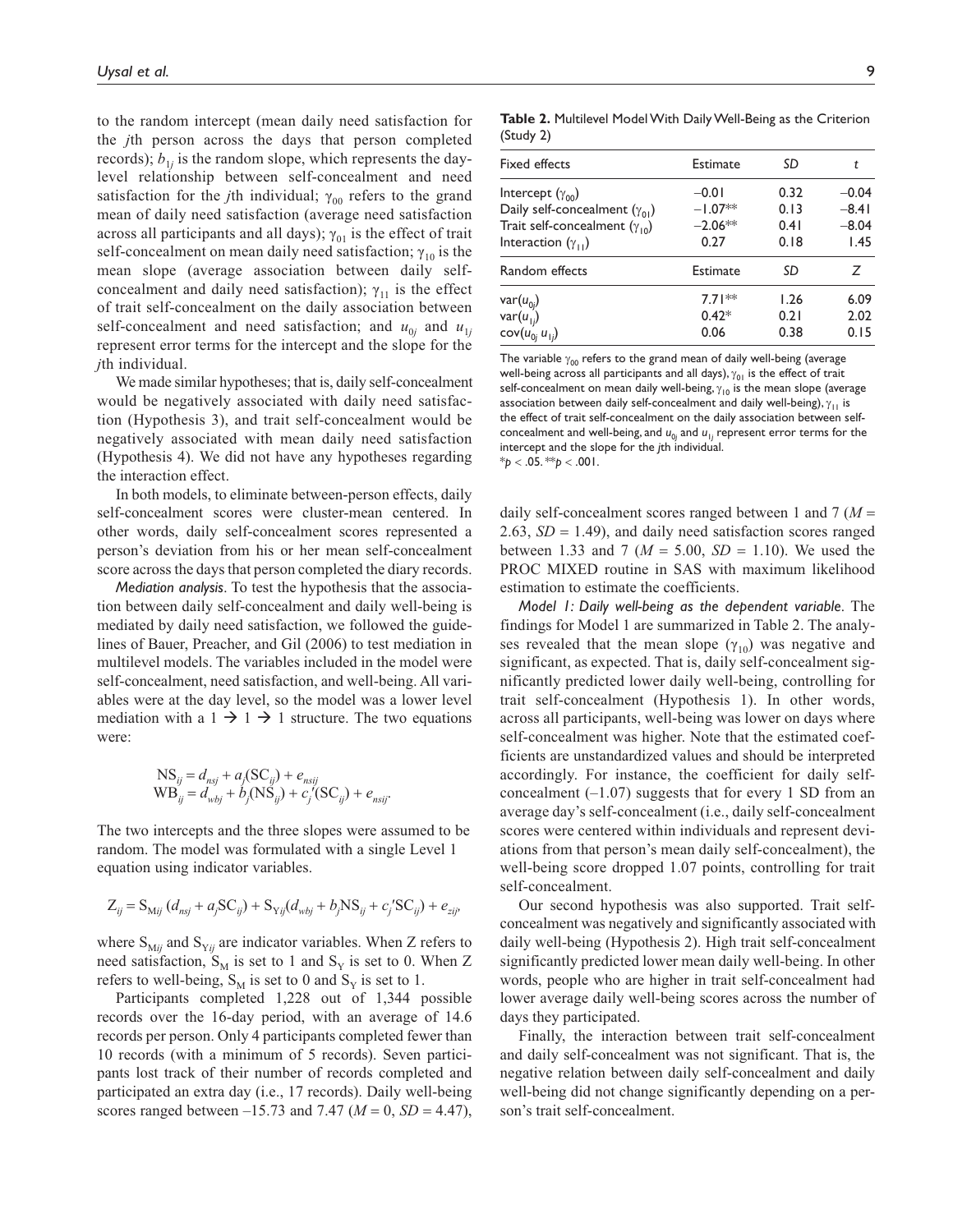to the random intercept (mean daily need satisfaction for the *j*th person across the days that person completed records);  $b_{1j}$  is the random slope, which represents the daylevel relationship between self-concealment and need satisfaction for the *j*th individual;  $\gamma_{00}$  refers to the grand mean of daily need satisfaction (average need satisfaction across all participants and all days);  $\gamma_{01}$  is the effect of trait self-concealment on mean daily need satisfaction;  $\gamma_{10}$  is the mean slope (average association between daily selfconcealment and daily need satisfaction);  $\gamma_{11}$  is the effect of trait self-concealment on the daily association between self-concealment and need satisfaction; and  $u_{0j}$  and  $u_{1j}$ represent error terms for the intercept and the slope for the *j*th individual.

We made similar hypotheses; that is, daily self-concealment would be negatively associated with daily need satisfaction (Hypothesis 3), and trait self-concealment would be negatively associated with mean daily need satisfaction (Hypothesis 4). We did not have any hypotheses regarding the interaction effect.

In both models, to eliminate between-person effects, daily self-concealment scores were cluster-mean centered. In other words, daily self-concealment scores represented a person's deviation from his or her mean self-concealment score across the days that person completed the diary records.

*Mediation analysis*. To test the hypothesis that the association between daily self-concealment and daily well-being is mediated by daily need satisfaction, we followed the guidelines of Bauer, Preacher, and Gil (2006) to test mediation in multilevel models. The variables included in the model were self-concealment, need satisfaction, and well-being. All variables were at the day level, so the model was a lower level mediation with a  $1 \rightarrow 1 \rightarrow 1$  structure. The two equations were:

$$
NS_{ij} = d_{nsj} + a_j (SC_{ij}) + e_{nsij}
$$
  
\n
$$
WB_{ij} = d_{wbj} + b_j (NS_{ij}) + c_j' (SC_{ij}) + e_{nsij}.
$$

The two intercepts and the three slopes were assumed to be random. The model was formulated with a single Level 1 equation using indicator variables.

$$
Z_{ij} = S_{Mij} (d_{nsj} + a_j SC_{ij}) + S_{Yij} (d_{wbj} + b_j NS_{ij} + c_j 'SC_{ij}) + e_{zij'}
$$

where  $S_{Mij}$  and  $S_{Yij}$  are indicator variables. When Z refers to need satisfaction,  $S_M$  is set to 1 and  $S_Y$  is set to 0. When Z refers to well-being,  $S_M$  is set to 0 and  $S_Y$  is set to 1.

Participants completed 1,228 out of 1,344 possible records over the 16-day period, with an average of 14.6 records per person. Only 4 participants completed fewer than 10 records (with a minimum of 5 records). Seven participants lost track of their number of records completed and participated an extra day (i.e., 17 records). Daily well-being scores ranged between  $-15.73$  and 7.47 ( $M = 0$ ,  $SD = 4.47$ ), **Table 2.** Multilevel Model With Daily Well-Being as the Criterion (Study 2)

| <b>Fixed effects</b>                                                                                                                         | Estimate                                  | SD                           |                                       |
|----------------------------------------------------------------------------------------------------------------------------------------------|-------------------------------------------|------------------------------|---------------------------------------|
| Intercept $(\gamma_{00})$<br>Daily self-concealment $(\gamma_{01})$<br>Trait self-concealment $(\gamma_{10})$<br>Interaction $(\gamma_{11})$ | $-0.01$<br>$-1.07**$<br>$-2.06**$<br>0.27 | 0.32<br>0.13<br>0.41<br>0.18 | $-0.04$<br>$-8.41$<br>$-8.04$<br>1.45 |
| Random effects                                                                                                                               | Estimate                                  | SD                           | Z                                     |
| var(u <sub>0i</sub> )<br>$\textsf{var}(u_{1j}^{\dagger})$<br>$cov(u_{0j}^{\dagger} u_{1j})$                                                  | $7.71**$<br>$0.42*$<br>0.06               | 1.26<br>0.21<br>0.38         | 6.09<br>2.02<br>0.15                  |

The variable  $\gamma_{00}$  refers to the grand mean of daily well-being (average well-being across all participants and all days),  $\gamma_{01}$  is the effect of trait self-concealment on mean daily well-being,  $\gamma_{10}$  is the mean slope (average association between daily self-concealment and daily well-being),  $\gamma_{11}$  is the effect of trait self-concealment on the daily association between selfconcealment and well-being, and  $u_{0j}$  and  $u_{1j}$  represent error terms for the intercept and the slope for the *j*th individual.  $*$ *p* < .05.  $*$ *p* < .001.

daily self-concealment scores ranged between 1 and  $7 (M =$ 2.63,  $SD = 1.49$ ), and daily need satisfaction scores ranged between 1.33 and 7 ( $M = 5.00$ ,  $SD = 1.10$ ). We used the PROC MIXED routine in SAS with maximum likelihood estimation to estimate the coefficients.

*Model 1: Daily well-being as the dependent variable*. The findings for Model 1 are summarized in Table 2. The analyses revealed that the mean slope  $(\gamma_{10})$  was negative and significant, as expected. That is, daily self-concealment significantly predicted lower daily well-being, controlling for trait self-concealment (Hypothesis 1). In other words, across all participants, well-being was lower on days where self-concealment was higher. Note that the estimated coefficients are unstandardized values and should be interpreted accordingly. For instance, the coefficient for daily selfconcealment  $(-1.07)$  suggests that for every 1 SD from an average day's self-concealment (i.e., daily self-concealment scores were centered within individuals and represent deviations from that person's mean daily self-concealment), the well-being score dropped 1.07 points, controlling for trait self-concealment.

Our second hypothesis was also supported. Trait selfconcealment was negatively and significantly associated with daily well-being (Hypothesis 2). High trait self-concealment significantly predicted lower mean daily well-being. In other words, people who are higher in trait self-concealment had lower average daily well-being scores across the number of days they participated.

Finally, the interaction between trait self-concealment and daily self-concealment was not significant. That is, the negative relation between daily self-concealment and daily well-being did not change significantly depending on a person's trait self-concealment.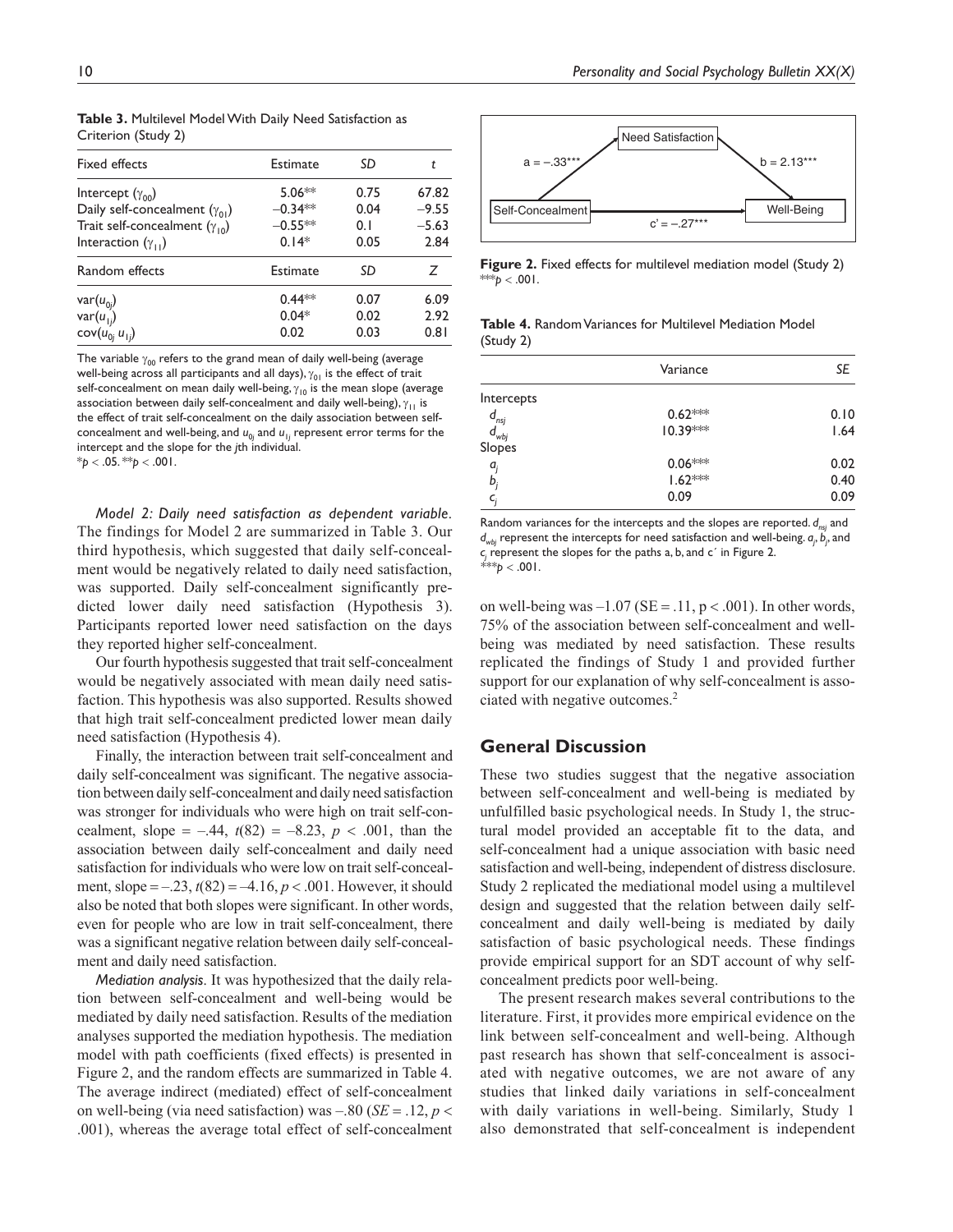| <b>Fixed effects</b>                   | Estimate  | SD   | t       |
|----------------------------------------|-----------|------|---------|
| Intercept $(\gamma_{00})$              | $5.06**$  | 0.75 | 67.82   |
| Daily self-concealment $(\gamma_{01})$ | $-0.34**$ | 0.04 | $-9.55$ |
| Trait self-concealment $(\gamma_{10})$ | $-0.55**$ | 0.1  | $-5.63$ |
| Interaction $(\gamma_{11})$            | $0.14*$   | 0.05 | 2.84    |
| Random effects                         | Estimate  | SD   | Ζ       |
| $var(u_{0j})$                          | $0.44**$  | 0.07 | 6.09    |
| $var(u_{1j})$                          | $0.04*$   | 0.02 | 2.92    |
| $cov(u_{0j} u_{1j})$                   | 0.02      | 0.03 | 0.81    |
|                                        |           |      |         |

**Table 3.** Multilevel Model With Daily Need Satisfaction as Criterion (Study 2)

The variable  $\gamma_{00}$  refers to the grand mean of daily well-being (average well-being across all participants and all days),  $\gamma_{01}$  is the effect of trait self-concealment on mean daily well-being,  $\gamma_{10}$  is the mean slope (average association between daily self-concealment and daily well-being),  $\gamma_{11}$  is the effect of trait self-concealment on the daily association between selfconcealment and well-being, and  $u_{0j}$  and  $u_{1j}$  represent error terms for the intercept and the slope for the *j*th individual.  $*$ *p* < .05.  $*$ *p* < .001.

*Model 2: Daily need satisfaction as dependent variable*. The findings for Model 2 are summarized in Table 3. Our third hypothesis, which suggested that daily self-concealment would be negatively related to daily need satisfaction, was supported. Daily self-concealment significantly predicted lower daily need satisfaction (Hypothesis 3). Participants reported lower need satisfaction on the days they reported higher self-concealment.

Our fourth hypothesis suggested that trait self-concealment would be negatively associated with mean daily need satisfaction. This hypothesis was also supported. Results showed that high trait self-concealment predicted lower mean daily need satisfaction (Hypothesis 4).

Finally, the interaction between trait self-concealment and daily self-concealment was significant. The negative association between daily self-concealment and daily need satisfaction was stronger for individuals who were high on trait self-concealment, slope  $= -0.44$ ,  $t(82) = -8.23$ ,  $p < 0.001$ , than the association between daily self-concealment and daily need satisfaction for individuals who were low on trait self-concealment, slope  $= -0.23$ ,  $t(82) = -4.16$ ,  $p < .001$ . However, it should also be noted that both slopes were significant. In other words, even for people who are low in trait self-concealment, there was a significant negative relation between daily self-concealment and daily need satisfaction.

*Mediation analysis*. It was hypothesized that the daily relation between self-concealment and well-being would be mediated by daily need satisfaction. Results of the mediation analyses supported the mediation hypothesis. The mediation model with path coefficients (fixed effects) is presented in Figure 2, and the random effects are summarized in Table 4. The average indirect (mediated) effect of self-concealment on well-being (via need satisfaction) was  $-.80$  (*SE* = .12, *p* < .001), whereas the average total effect of self-concealment



**Figure 2.** Fixed effects for multilevel mediation model (Study 2) \*\*\* $p < .001$ .

**Table 4.** Random Variances for Multilevel Mediation Model (Study 2)

|                                                                     | Variance             | SE   |
|---------------------------------------------------------------------|----------------------|------|
| Intercepts                                                          |                      |      |
|                                                                     | $0.62***$            | 0.10 |
| $\begin{array}{c} d_{\mathit{nsj}} \\ d_{\mathit{wbj}} \end{array}$ | $10.39***$           | 1.64 |
| Slopes                                                              |                      |      |
| $a_i$                                                               |                      | 0.02 |
| b,                                                                  | $0.06***$<br>1.62*** | 0.40 |
| c,                                                                  | 0.09                 | 0.09 |

Random variances for the intercepts and the slopes are reported.  $d_{nsi}$  and  $d_{\mathsf{wbj}}$  represent the intercepts for need satisfaction and well-being.  $a_{j}^{}$ ,  $b_{j}^{}$ , and *cj* represent the slopes for the paths a, b, and c´ in Figure 2.  $*^{**}p < .001$ .

on well-being was  $-1.07$  (SE = .11, p < .001). In other words, 75% of the association between self-concealment and wellbeing was mediated by need satisfaction. These results replicated the findings of Study 1 and provided further support for our explanation of why self-concealment is associated with negative outcomes.<sup>2</sup>

## **General Discussion**

These two studies suggest that the negative association between self-concealment and well-being is mediated by unfulfilled basic psychological needs. In Study 1, the structural model provided an acceptable fit to the data, and self-concealment had a unique association with basic need satisfaction and well-being, independent of distress disclosure. Study 2 replicated the mediational model using a multilevel design and suggested that the relation between daily selfconcealment and daily well-being is mediated by daily satisfaction of basic psychological needs. These findings provide empirical support for an SDT account of why selfconcealment predicts poor well-being.

The present research makes several contributions to the literature. First, it provides more empirical evidence on the link between self-concealment and well-being. Although past research has shown that self-concealment is associated with negative outcomes, we are not aware of any studies that linked daily variations in self-concealment with daily variations in well-being. Similarly, Study 1 also demonstrated that self-concealment is independent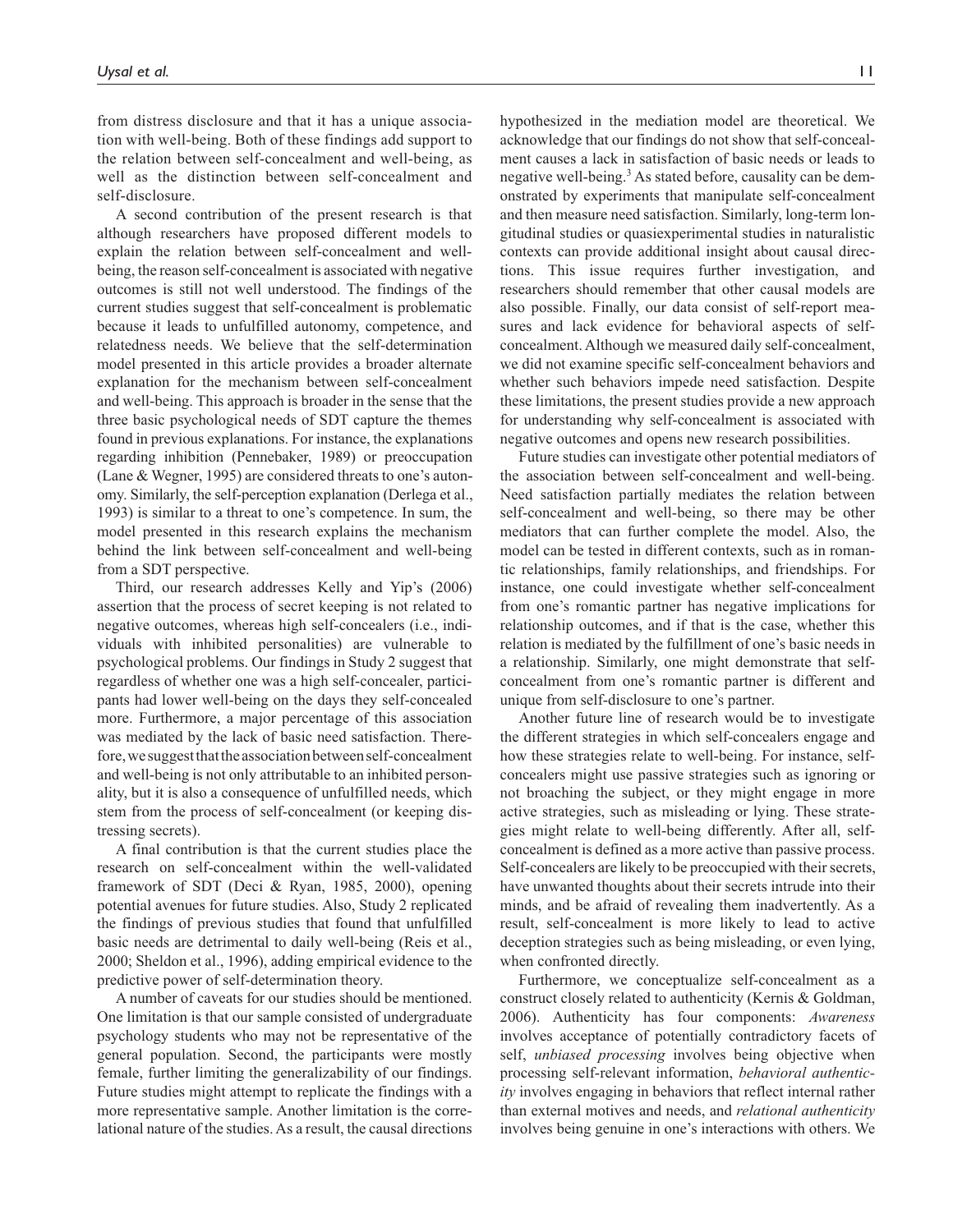from distress disclosure and that it has a unique association with well-being. Both of these findings add support to the relation between self-concealment and well-being, as well as the distinction between self-concealment and self-disclosure.

A second contribution of the present research is that although researchers have proposed different models to explain the relation between self-concealment and wellbeing, the reason self-concealment is associated with negative outcomes is still not well understood. The findings of the current studies suggest that self-concealment is problematic because it leads to unfulfilled autonomy, competence, and relatedness needs. We believe that the self-determination model presented in this article provides a broader alternate explanation for the mechanism between self-concealment and well-being. This approach is broader in the sense that the three basic psychological needs of SDT capture the themes found in previous explanations. For instance, the explanations regarding inhibition (Pennebaker, 1989) or preoccupation (Lane & Wegner, 1995) are considered threats to one's autonomy. Similarly, the self-perception explanation (Derlega et al., 1993) is similar to a threat to one's competence. In sum, the model presented in this research explains the mechanism behind the link between self-concealment and well-being from a SDT perspective.

Third, our research addresses Kelly and Yip's (2006) assertion that the process of secret keeping is not related to negative outcomes, whereas high self-concealers (i.e., individuals with inhibited personalities) are vulnerable to psychological problems. Our findings in Study 2 suggest that regardless of whether one was a high self-concealer, participants had lower well-being on the days they self-concealed more. Furthermore, a major percentage of this association was mediated by the lack of basic need satisfaction. Therefore, we suggest that the association between self-concealment and well-being is not only attributable to an inhibited personality, but it is also a consequence of unfulfilled needs, which stem from the process of self-concealment (or keeping distressing secrets).

A final contribution is that the current studies place the research on self-concealment within the well-validated framework of SDT (Deci & Ryan, 1985, 2000), opening potential avenues for future studies. Also, Study 2 replicated the findings of previous studies that found that unfulfilled basic needs are detrimental to daily well-being (Reis et al., 2000; Sheldon et al., 1996), adding empirical evidence to the predictive power of self-determination theory.

A number of caveats for our studies should be mentioned. One limitation is that our sample consisted of undergraduate psychology students who may not be representative of the general population. Second, the participants were mostly female, further limiting the generalizability of our findings. Future studies might attempt to replicate the findings with a more representative sample. Another limitation is the correlational nature of the studies. As a result, the causal directions hypothesized in the mediation model are theoretical. We acknowledge that our findings do not show that self-concealment causes a lack in satisfaction of basic needs or leads to negative well-being.<sup>3</sup> As stated before, causality can be demonstrated by experiments that manipulate self-concealment and then measure need satisfaction. Similarly, long-term longitudinal studies or quasiexperimental studies in naturalistic contexts can provide additional insight about causal directions. This issue requires further investigation, and researchers should remember that other causal models are also possible. Finally, our data consist of self-report measures and lack evidence for behavioral aspects of selfconcealment. Although we measured daily self-concealment, we did not examine specific self-concealment behaviors and whether such behaviors impede need satisfaction. Despite these limitations, the present studies provide a new approach for understanding why self-concealment is associated with negative outcomes and opens new research possibilities.

Future studies can investigate other potential mediators of the association between self-concealment and well-being. Need satisfaction partially mediates the relation between self-concealment and well-being, so there may be other mediators that can further complete the model. Also, the model can be tested in different contexts, such as in romantic relationships, family relationships, and friendships. For instance, one could investigate whether self-concealment from one's romantic partner has negative implications for relationship outcomes, and if that is the case, whether this relation is mediated by the fulfillment of one's basic needs in a relationship. Similarly, one might demonstrate that selfconcealment from one's romantic partner is different and unique from self-disclosure to one's partner.

Another future line of research would be to investigate the different strategies in which self-concealers engage and how these strategies relate to well-being. For instance, selfconcealers might use passive strategies such as ignoring or not broaching the subject, or they might engage in more active strategies, such as misleading or lying. These strategies might relate to well-being differently. After all, selfconcealment is defined as a more active than passive process. Self-concealers are likely to be preoccupied with their secrets, have unwanted thoughts about their secrets intrude into their minds, and be afraid of revealing them inadvertently. As a result, self-concealment is more likely to lead to active deception strategies such as being misleading, or even lying, when confronted directly.

Furthermore, we conceptualize self-concealment as a construct closely related to authenticity (Kernis & Goldman, 2006). Authenticity has four components: *Awareness* involves acceptance of potentially contradictory facets of self, *unbiased processing* involves being objective when processing self-relevant information, *behavioral authenticity* involves engaging in behaviors that reflect internal rather than external motives and needs, and *relational authenticity* involves being genuine in one's interactions with others. We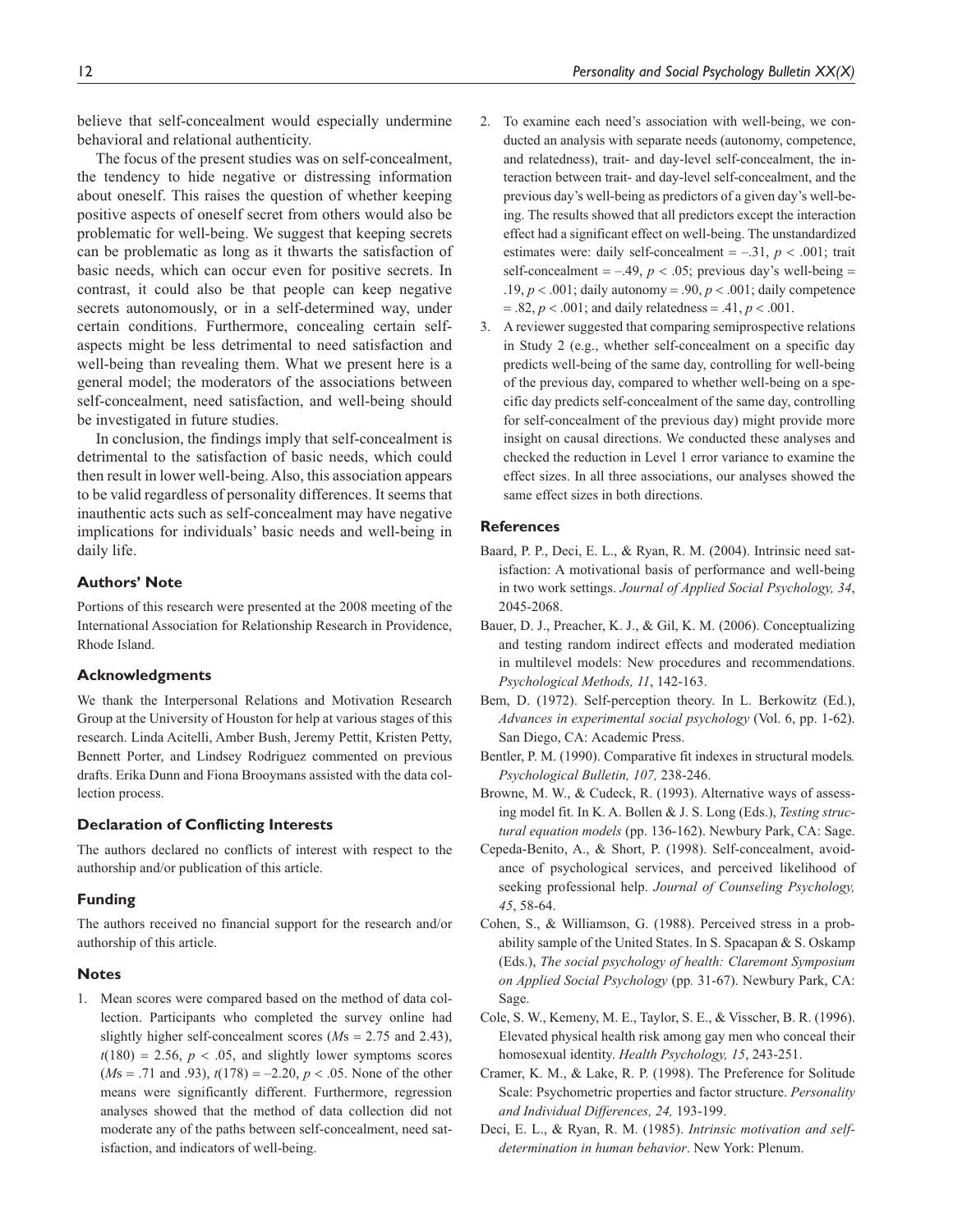believe that self-concealment would especially undermine behavioral and relational authenticity.

The focus of the present studies was on self-concealment, the tendency to hide negative or distressing information about oneself. This raises the question of whether keeping positive aspects of oneself secret from others would also be problematic for well-being. We suggest that keeping secrets can be problematic as long as it thwarts the satisfaction of basic needs, which can occur even for positive secrets. In contrast, it could also be that people can keep negative secrets autonomously, or in a self-determined way, under certain conditions. Furthermore, concealing certain selfaspects might be less detrimental to need satisfaction and well-being than revealing them. What we present here is a general model; the moderators of the associations between self-concealment, need satisfaction, and well-being should be investigated in future studies.

In conclusion, the findings imply that self-concealment is detrimental to the satisfaction of basic needs, which could then result in lower well-being. Also, this association appears to be valid regardless of personality differences. It seems that inauthentic acts such as self-concealment may have negative implications for individuals' basic needs and well-being in daily life.

## **Authors' Note**

Portions of this research were presented at the 2008 meeting of the International Association for Relationship Research in Providence, Rhode Island.

#### **Acknowledgments**

We thank the Interpersonal Relations and Motivation Research Group at the University of Houston for help at various stages of this research. Linda Acitelli, Amber Bush, Jeremy Pettit, Kristen Petty, Bennett Porter, and Lindsey Rodriguez commented on previous drafts. Erika Dunn and Fiona Brooymans assisted with the data collection process.

#### **Declaration of Conflicting Interests**

The authors declared no conflicts of interest with respect to the authorship and/or publication of this article.

#### **Funding**

The authors received no financial support for the research and/or authorship of this article.

#### **Notes**

1. Mean scores were compared based on the method of data collection. Participants who completed the survey online had slightly higher self-concealment scores ( $Ms = 2.75$  and 2.43),  $t(180) = 2.56$ ,  $p < .05$ , and slightly lower symptoms scores  $(Ms = .71$  and .93),  $t(178) = -2.20, p < .05$ . None of the other means were significantly different. Furthermore, regression analyses showed that the method of data collection did not moderate any of the paths between self-concealment, need satisfaction, and indicators of well-being.

- 2. To examine each need's association with well-being, we conducted an analysis with separate needs (autonomy, competence, and relatedness), trait- and day-level self-concealment, the interaction between trait- and day-level self-concealment, and the previous day's well-being as predictors of a given day's well-being. The results showed that all predictors except the interaction effect had a significant effect on well-being. The unstandardized estimates were: daily self-concealment  $=$  -.31,  $p < .001$ ; trait self-concealment  $= -0.49$ ,  $p < 0.05$ ; previous day's well-being  $=$ .19,  $p < .001$ ; daily autonomy = .90,  $p < .001$ ; daily competence  $= .82, p < .001$ ; and daily relatedness  $= .41, p < .001$ .
- 3. A reviewer suggested that comparing semiprospective relations in Study 2 (e.g., whether self-concealment on a specific day predicts well-being of the same day, controlling for well-being of the previous day, compared to whether well-being on a specific day predicts self-concealment of the same day, controlling for self-concealment of the previous day) might provide more insight on causal directions. We conducted these analyses and checked the reduction in Level 1 error variance to examine the effect sizes. In all three associations, our analyses showed the same effect sizes in both directions.

#### **References**

- Baard, P. P., Deci, E. L., & Ryan, R. M. (2004). Intrinsic need satisfaction: A motivational basis of performance and well-being in two work settings. *Journal of Applied Social Psychology, 34*, 2045-2068.
- Bauer, D. J., Preacher, K. J., & Gil, K. M. (2006). Conceptualizing and testing random indirect effects and moderated mediation in multilevel models: New procedures and recommendations. *Psychological Methods, 11*, 142-163.
- Bem, D. (1972). Self-perception theory. In L. Berkowitz (Ed.), *Advances in experimental social psychology* (Vol. 6, pp. 1-62). San Diego, CA: Academic Press.
- Bentler, P. M. (1990). Comparative fit indexes in structural models*. Psychological Bulletin, 107,* 238-246.
- Browne, M. W., & Cudeck, R. (1993). Alternative ways of assessing model fit. In K. A. Bollen & J. S. Long (Eds.), *Testing structural equation models* (pp. 136-162). Newbury Park, CA: Sage.
- Cepeda-Benito, A., & Short, P. (1998). Self-concealment, avoidance of psychological services, and perceived likelihood of seeking professional help. *Journal of Counseling Psychology, 45*, 58-64.
- Cohen, S., & Williamson, G. (1988). Perceived stress in a probability sample of the United States. In S. Spacapan & S. Oskamp (Eds.), *The social psychology of health: Claremont Symposium on Applied Social Psychology* (pp*.* 31-67). Newbury Park, CA: Sage.
- Cole, S. W., Kemeny, M. E., Taylor, S. E., & Visscher, B. R. (1996). Elevated physical health risk among gay men who conceal their homosexual identity. *Health Psychology, 15*, 243-251.
- Cramer, K. M., & Lake, R. P. (1998). The Preference for Solitude Scale: Psychometric properties and factor structure. *Personality and Individual Differences, 24,* 193-199.
- Deci, E. L., & Ryan, R. M. (1985). *Intrinsic motivation and selfdetermination in human behavior*. New York: Plenum.